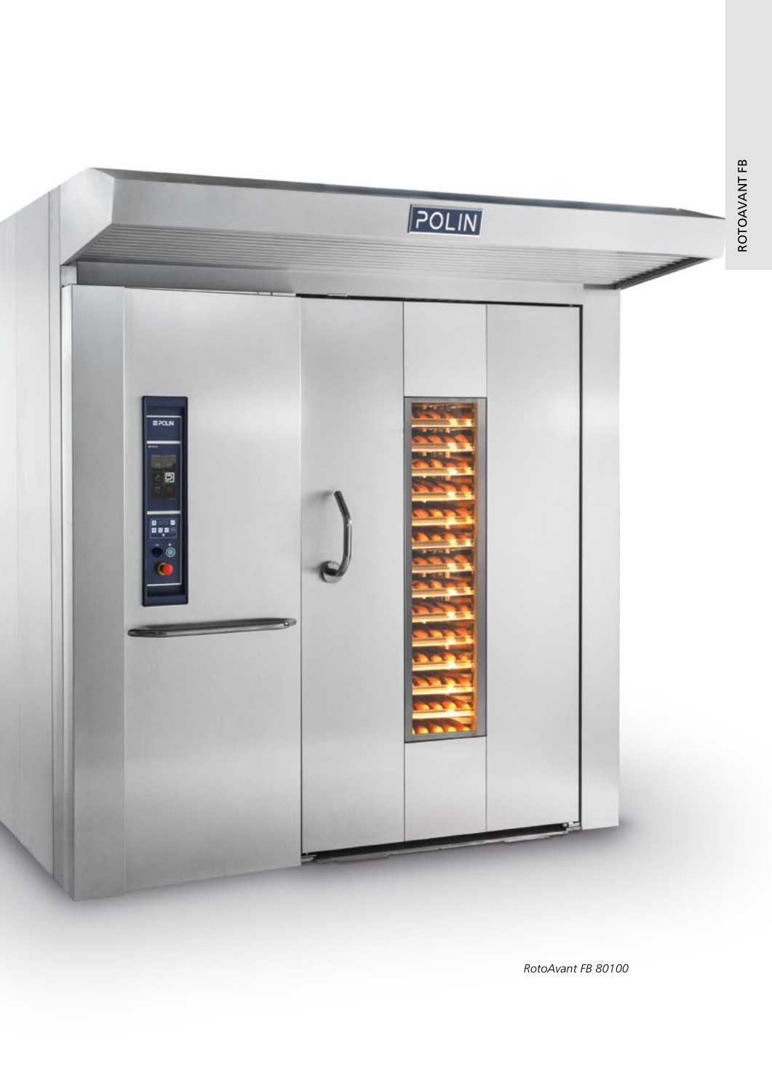

RotoAvant FB 80100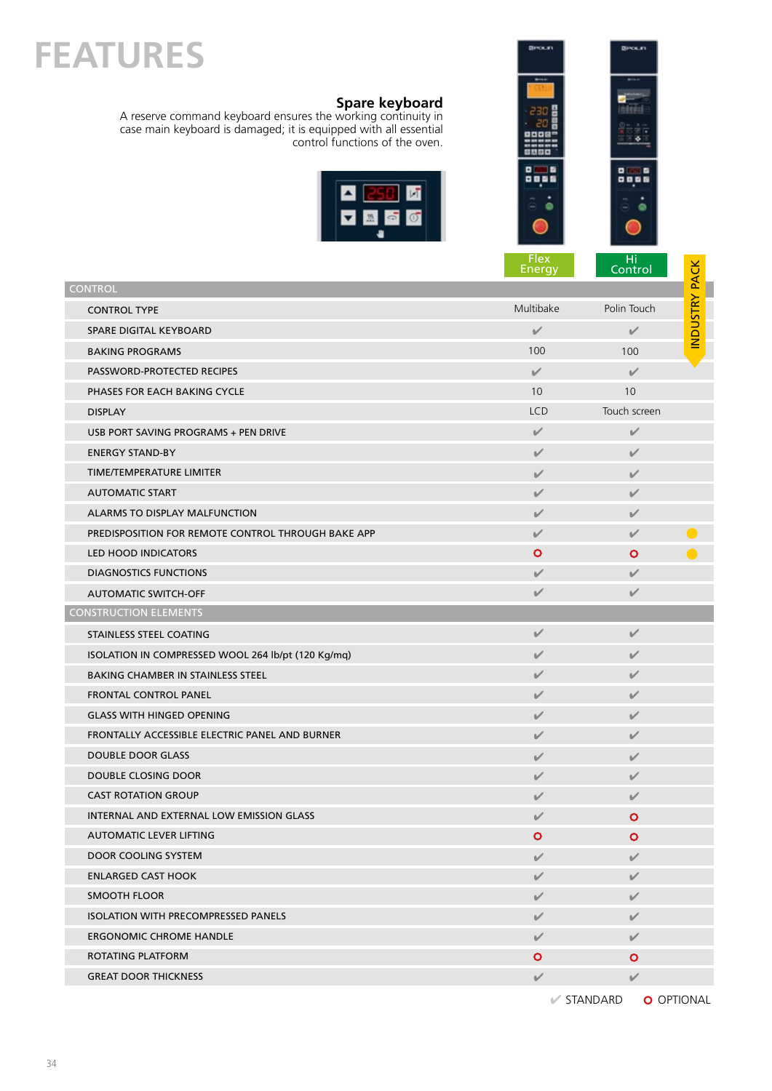## **FEATURES**

## **Spare keyboard**

A reserve command keyboard ensures the working continuity in case main keyboard is damaged; it is equipped with all essential control functions of the oven.





|                                                    | <b>Flex</b><br>Energy | Hi<br>Control |               |
|----------------------------------------------------|-----------------------|---------------|---------------|
| <b>CONTROL</b>                                     |                       |               |               |
| <b>CONTROL TYPE</b>                                | Multibake             | Polin Touch   | INDUSTRY PACK |
| SPARE DIGITAL KEYBOARD                             | $\checkmark$          | $\checkmark$  |               |
| <b>BAKING PROGRAMS</b>                             | 100                   | 100           |               |
| PASSWORD-PROTECTED RECIPES                         | $\checkmark$          | $\checkmark$  |               |
| PHASES FOR EACH BAKING CYCLE                       | 10                    | 10            |               |
| <b>DISPLAY</b>                                     | <b>LCD</b>            | Touch screen  |               |
| USB PORT SAVING PROGRAMS + PEN DRIVE               | $\checkmark$          | $\checkmark$  |               |
| <b>ENERGY STAND-BY</b>                             | $\checkmark$          | ✓             |               |
| TIME/TEMPERATURE LIMITER                           | V                     | $\checkmark$  |               |
| <b>AUTOMATIC START</b>                             | $\checkmark$          | ✓             |               |
| ALARMS TO DISPLAY MALFUNCTION                      | V                     | ✓             |               |
| PREDISPOSITION FOR REMOTE CONTROL THROUGH BAKE APP | $\checkmark$          | $\checkmark$  |               |
| <b>LED HOOD INDICATORS</b>                         | $\circ$               | Ο             |               |
| <b>DIAGNOSTICS FUNCTIONS</b>                       | $\checkmark$          | $\checkmark$  |               |
| <b>AUTOMATIC SWITCH-OFF</b>                        | ✓                     | $\vee$        |               |
| <b>CONSTRUCTION ELEMENTS</b>                       |                       |               |               |
| STAINLESS STEEL COATING                            | $\checkmark$          | $\checkmark$  |               |
| ISOLATION IN COMPRESSED WOOL 264 lb/pt (120 Kg/mq) | $\checkmark$          | $\checkmark$  |               |
| <b>BAKING CHAMBER IN STAINLESS STEEL</b>           | V                     | $\checkmark$  |               |
| FRONTAL CONTROL PANEL                              | V                     | $\checkmark$  |               |
| <b>GLASS WITH HINGED OPENING</b>                   | $\checkmark$          | ✓             |               |
| FRONTALLY ACCESSIBLE ELECTRIC PANEL AND BURNER     | $\checkmark$          | $\checkmark$  |               |
| <b>DOUBLE DOOR GLASS</b>                           | V                     | $\checkmark$  |               |
| DOUBLE CLOSING DOOR                                | ✓                     | $\checkmark$  |               |
| <b>CAST ROTATION GROUP</b>                         | ✓                     | $\checkmark$  |               |
| <b>INTERNAL AND EXTERNAL LOW EMISSION GLASS</b>    | ✓                     | Ο             |               |
| AUTOMATIC LEVER LIFTING                            | $\circ$               | $\bullet$     |               |
| DOOR COOLING SYSTEM                                | V                     | $\checkmark$  |               |
| <b>ENLARGED CAST HOOK</b>                          | $\checkmark$          | $\checkmark$  |               |
| <b>SMOOTH FLOOR</b>                                | V                     | $\checkmark$  |               |
| <b>ISOLATION WITH PRECOMPRESSED PANELS</b>         | V                     | V             |               |
| <b>ERGONOMIC CHROME HANDLE</b>                     | V                     | $\checkmark$  |               |
| ROTATING PLATFORM                                  | $\bullet$             | $\mathbf{O}$  |               |
| <b>GREAT DOOR THICKNESS</b>                        | $\checkmark$          | $\sqrt{2}$    |               |

 $\blacktriangleright$  STANDARD  $\bullet$  OPTIONAL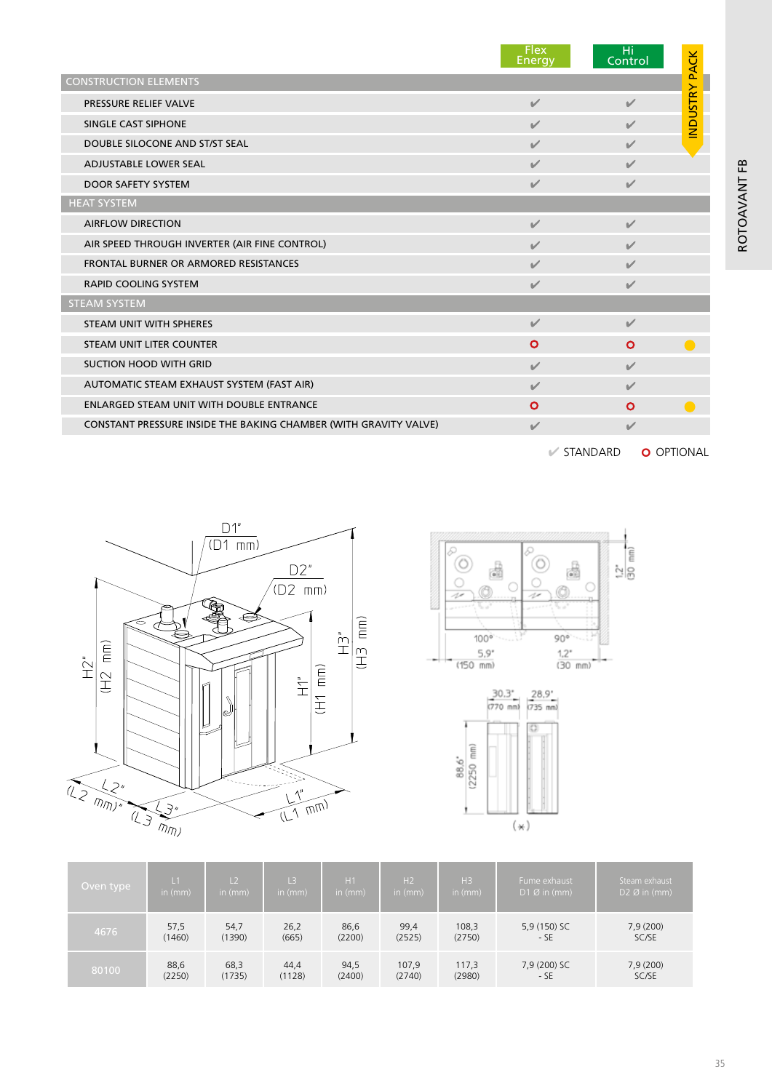|                                                                  | <b>Flex</b><br><b>Energy</b> | Hi<br>Control            | <b>INDUSTRY PACK</b> |
|------------------------------------------------------------------|------------------------------|--------------------------|----------------------|
| <b>CONSTRUCTION ELEMENTS</b>                                     |                              |                          |                      |
| PRESSURE RELIEF VALVE                                            | $\sqrt{2}$                   | $\mathscr{L}$            |                      |
| SINGLE CAST SIPHONE                                              | $\sqrt{2}$                   | $\overline{\mathscr{L}}$ |                      |
| DOUBLE SILOCONE AND ST/ST SEAL                                   | $\sqrt{2}$                   | $\checkmark$             |                      |
| <b>ADJUSTABLE LOWER SEAL</b>                                     | $\checkmark$                 | $\checkmark$             |                      |
| <b>DOOR SAFETY SYSTEM</b>                                        | $\checkmark$                 | $\checkmark$             |                      |
| <b>HEAT SYSTEM</b>                                               |                              |                          |                      |
| <b>AIRFLOW DIRECTION</b>                                         | $\sqrt{2}$                   | $\sqrt{2}$               |                      |
| AIR SPEED THROUGH INVERTER (AIR FINE CONTROL)                    | $\checkmark$                 | $\sqrt{2}$               |                      |
| FRONTAL BURNER OR ARMORED RESISTANCES                            | $\checkmark$                 | $\sqrt{2}$               |                      |
| <b>RAPID COOLING SYSTEM</b>                                      | $\checkmark$                 | $\checkmark$             |                      |
| <b>STEAM SYSTEM</b>                                              |                              |                          |                      |
| STEAM UNIT WITH SPHERES                                          | $\sqrt{ }$                   | $\sqrt{2}$               |                      |
| STEAM UNIT LITER COUNTER                                         | $\mathbf{o}$                 | $\circ$                  |                      |
| <b>SUCTION HOOD WITH GRID</b>                                    | $\sqrt{2}$                   | $\sqrt{ }$               |                      |
| AUTOMATIC STEAM EXHAUST SYSTEM (FAST AIR)                        | $\sqrt{2}$                   | $\sqrt{2}$               |                      |
| ENLARGED STEAM UNIT WITH DOUBLE ENTRANCE                         | $\mathbf{o}$                 | $\mathbf{o}$             |                      |
| CONSTANT PRESSURE INSIDE THE BAKING CHAMBER (WITH GRAVITY VALVE) | $\sqrt{2}$                   | $\overline{\mathscr{L}}$ |                      |

 $\mathscr V$  STANDARD  $\qquad$  O OPTIONAL

ROTOAVANT FB

ROTOAVANT FB







| Oven type | L <sub>1</sub> | L <sub>2</sub> | L <sub>3</sub> | H1        | H <sub>2</sub> | H <sub>3</sub> | Fume exhaust           | Steam exhaust            |
|-----------|----------------|----------------|----------------|-----------|----------------|----------------|------------------------|--------------------------|
|           | in $(mm)$      | in $(mm)$      | in $(mm)$      | in $(mm)$ | in $(mm)$      | in $(mm)$      | $D1 \emptyset$ in (mm) | $D2 \varnothing$ in (mm) |
| 4676      | 57,5           | 54,7           | 26,2           | 86,6      | 99,4           | 108,3          | 5,9 (150) SC           | 7,9(200)                 |
|           | (1460)         | (1390)         | (665)          | (2200)    | (2525)         | (2750)         | $-SE$                  | SC/SE                    |
| 80100     | 88,6           | 68,3           | 44,4           | 94,5      | 107,9          | 117,3          | 7,9 (200) SC           | 7,9 (200)                |
|           | (2250)         | (1735)         | (1128)         | (2400)    | (2740)         | (2980)         | - SE                   | SC/SE                    |

35